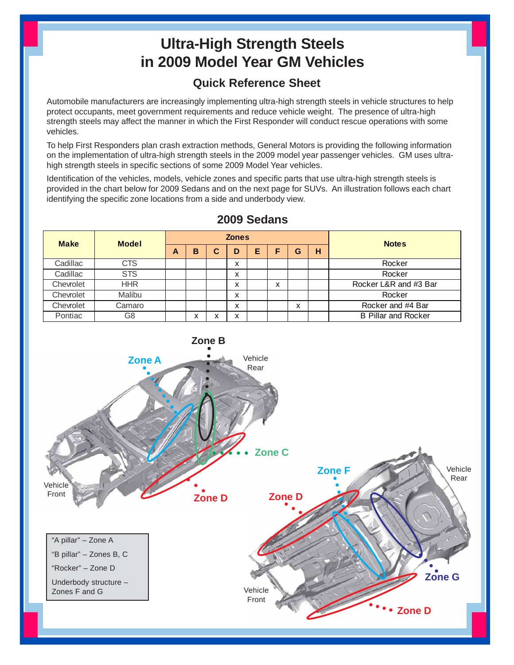## **Ultra-High Strength Steels in 2009 Model Year GM Vehicles**

## **Quick Reference Sheet**

Automobile manufacturers are increasingly implementing ultra-high strength steels in vehicle structures to help protect occupants, meet government requirements and reduce vehicle weight. The presence of ultra-high strength steels may affect the manner in which the First Responder will conduct rescue operations with some vehicles.

To help First Responders plan crash extraction methods, General Motors is providing the following information on the implementation of ultra-high strength steels in the 2009 model year passenger vehicles. GM uses ultrahigh strength steels in specific sections of some 2009 Model Year vehicles.

Identification of the vehicles, models, vehicle zones and specific parts that use ultra-high strength steels is provided in the chart below for 2009 Sedans and on the next page for SUVs. An illustration follows each chart identifying the specific zone locations from a side and underbody view.



## **2009 Sedans**